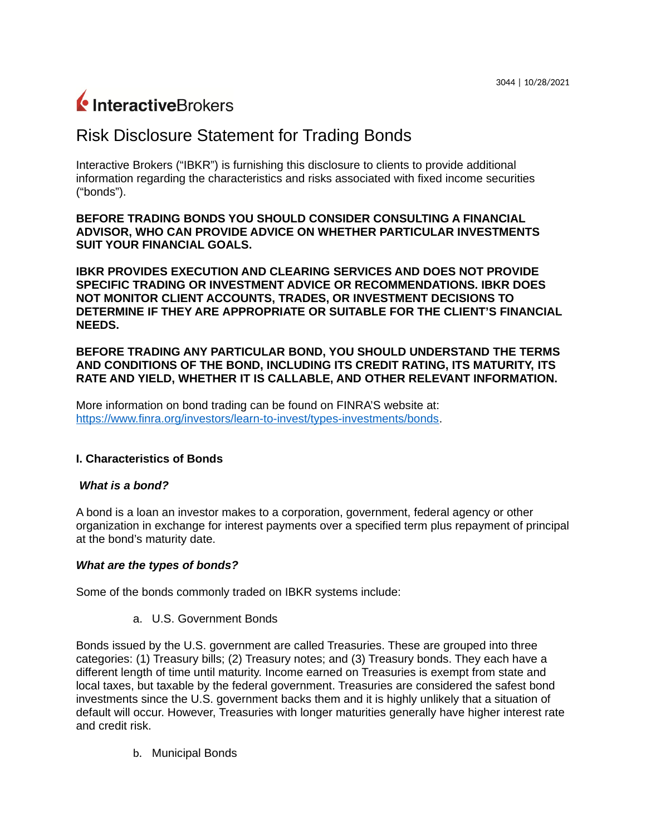# InteractiveBrokers

# Risk Disclosure Statement for Trading Bonds

Interactive Brokers ("IBKR") is furnishing this disclosure to clients to provide additional information regarding the characteristics and risks associated with fixed income securities ("bonds").

**BEFORE TRADING BONDS YOU SHOULD CONSIDER CONSULTING A FINANCIAL ADVISOR, WHO CAN PROVIDE ADVICE ON WHETHER PARTICULAR INVESTMENTS SUIT YOUR FINANCIAL GOALS.**

**IBKR PROVIDES EXECUTION AND CLEARING SERVICES AND DOES NOT PROVIDE SPECIFIC TRADING OR INVESTMENT ADVICE OR RECOMMENDATIONS. IBKR DOES NOT MONITOR CLIENT ACCOUNTS, TRADES, OR INVESTMENT DECISIONS TO DETERMINE IF THEY ARE APPROPRIATE OR SUITABLE FOR THE CLIENT'S FINANCIAL NEEDS.**

**BEFORE TRADING ANY PARTICULAR BOND, YOU SHOULD UNDERSTAND THE TERMS AND CONDITIONS OF THE BOND, INCLUDING ITS CREDIT RATING, ITS MATURITY, ITS RATE AND YIELD, WHETHER IT IS CALLABLE, AND OTHER RELEVANT INFORMATION.**

More information on bond trading can be found on FINRA'S website at: [https://www.finra.org/investors/learn-to-invest/types-investments/bonds.](https://www.finra.org/investors/learn-to-invest/types-investments/bonds)

# **I. Characteristics of Bonds**

# *What is a bond?*

A bond is a loan an investor makes to a corporation, government, federal agency or other organization in exchange for interest payments over a specified term plus repayment of principal at the bond's maturity date.

#### *What are the types of bonds?*

Some of the bonds commonly traded on IBKR systems include:

a. U.S. Government Bonds

Bonds issued by the U.S. government are called Treasuries. These are grouped into three categories: (1) Treasury bills; (2) Treasury notes; and (3) Treasury bonds. They each have a different length of time until maturity. Income earned on Treasuries is exempt from state and local taxes, but taxable by the federal government. Treasuries are considered the safest bond investments since the U.S. government backs them and it is highly unlikely that a situation of default will occur. However, Treasuries with longer maturities generally have higher interest rate and credit risk.

b. Municipal Bonds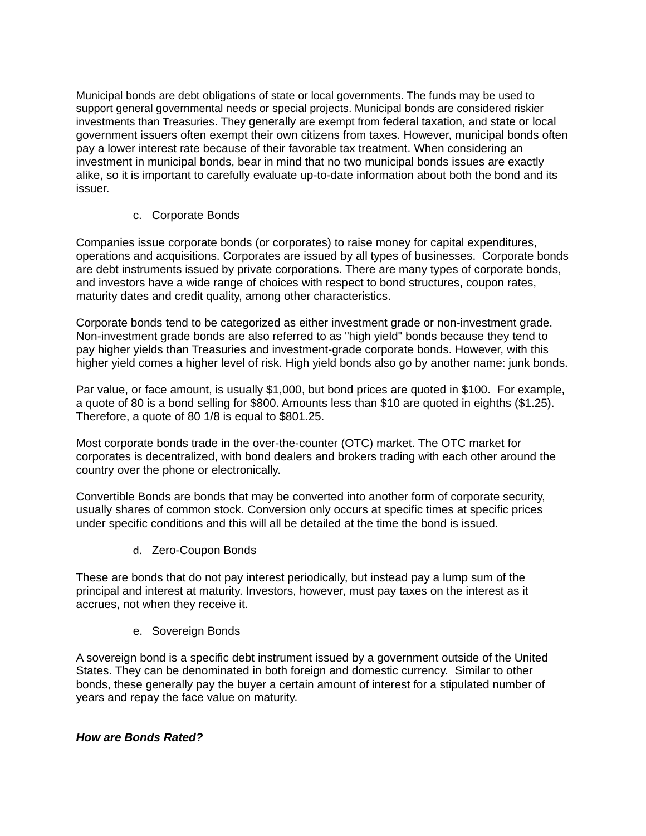Municipal bonds are debt obligations of state or local governments. The funds may be used to support general governmental needs or special projects. Municipal bonds are considered riskier investments than Treasuries. They generally are exempt from federal taxation, and state or local government issuers often exempt their own citizens from taxes. However, municipal bonds often pay a lower interest rate because of their favorable tax treatment. When considering an investment in municipal bonds, bear in mind that no two municipal bonds issues are exactly alike, so it is important to carefully evaluate up-to-date information about both the bond and its issuer.

# c. Corporate Bonds

Companies issue corporate bonds (or corporates) to raise money for capital expenditures, operations and acquisitions. Corporates are issued by all types of businesses. Corporate bonds are debt instruments issued by private corporations. There are many types of corporate bonds, and investors have a wide range of choices with respect to bond structures, coupon rates, maturity dates and credit quality, among other characteristics.

Corporate bonds tend to be categorized as either investment grade or non-investment grade. Non-investment grade bonds are also referred to as "high yield" bonds because they tend to pay higher yields than Treasuries and investment-grade corporate bonds. However, with this higher yield comes a higher level of risk. High yield bonds also go by another name: junk bonds.

Par value, or face amount, is usually \$1,000, but bond prices are quoted in \$100. For example, a quote of 80 is a bond selling for \$800. Amounts less than \$10 are quoted in eighths (\$1.25). Therefore, a quote of 80 1/8 is equal to \$801.25.

Most corporate bonds trade in the over-the-counter (OTC) market. The OTC market for corporates is decentralized, with bond dealers and brokers trading with each other around the country over the phone or electronically.

Convertible Bonds are bonds that may be converted into another form of corporate security, usually shares of common stock. Conversion only occurs at specific times at specific prices under specific conditions and this will all be detailed at the time the bond is issued.

d. Zero-Coupon Bonds

These are bonds that do not pay interest periodically, but instead pay a lump sum of the principal and interest at maturity. Investors, however, must pay taxes on the interest as it accrues, not when they receive it.

e. Sovereign Bonds

A sovereign bond is a specific debt instrument issued by a government outside of the United States. They can be denominated in both foreign and domestic currency. Similar to other bonds, these generally pay the buyer a certain amount of interest for a stipulated number of years and repay the face value on maturity.

# *How are Bonds Rated?*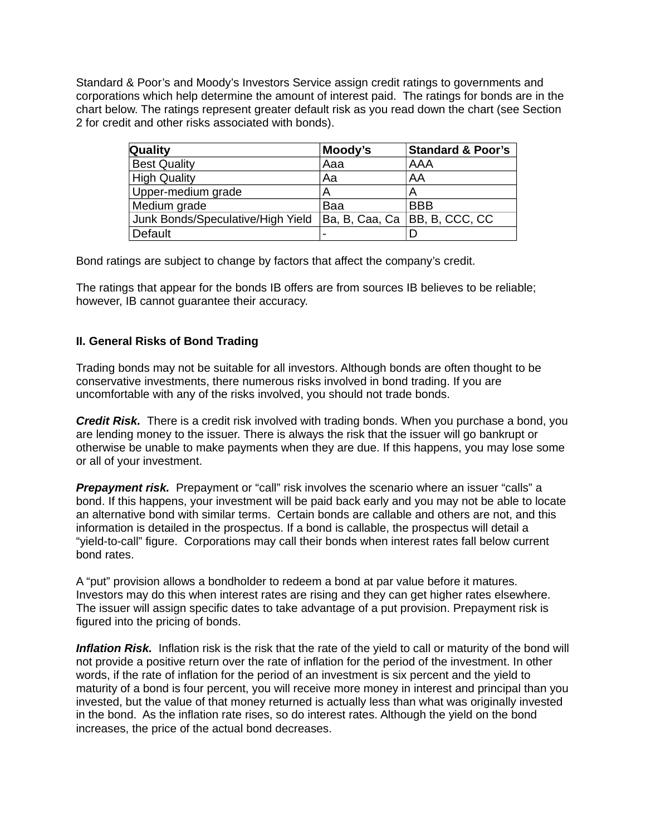Standard & Poor's and Moody's Investors Service assign credit ratings to governments and corporations which help determine the amount of interest paid. The ratings for bonds are in the chart below. The ratings represent greater default risk as you read down the chart (see Section 2 for credit and other risks associated with bonds).

| Quality                           | Moody's | <b>Standard &amp; Poor's</b>    |
|-----------------------------------|---------|---------------------------------|
| <b>Best Quality</b>               | Aaa     | <b>AAA</b>                      |
| <b>High Quality</b>               | Aa      | AA                              |
| Upper-medium grade                | A       | A                               |
| Medium grade                      | Baa     | <b>BBB</b>                      |
| Junk Bonds/Speculative/High Yield |         | Ba, B, Caa, Ca   BB, B, CCC, CC |
| Default                           |         |                                 |

Bond ratings are subject to change by factors that affect the company's credit.

The ratings that appear for the bonds IB offers are from sources IB believes to be reliable; however, IB cannot guarantee their accuracy.

#### **II. General Risks of Bond Trading**

Trading bonds may not be suitable for all investors. Although bonds are often thought to be conservative investments, there numerous risks involved in bond trading. If you are uncomfortable with any of the risks involved, you should not trade bonds.

*Credit Risk.* There is a credit risk involved with trading bonds. When you purchase a bond, you are lending money to the issuer. There is always the risk that the issuer will go bankrupt or otherwise be unable to make payments when they are due. If this happens, you may lose some or all of your investment.

**Prepayment risk.** Prepayment or "call" risk involves the scenario where an issuer "calls" a bond. If this happens, your investment will be paid back early and you may not be able to locate an alternative bond with similar terms. Certain bonds are callable and others are not, and this information is detailed in the prospectus. If a bond is callable, the prospectus will detail a "yield-to-call" figure. Corporations may call their bonds when interest rates fall below current bond rates.

A "put" provision allows a bondholder to redeem a bond at par value before it matures. Investors may do this when interest rates are rising and they can get higher rates elsewhere. The issuer will assign specific dates to take advantage of a put provision. Prepayment risk is figured into the pricing of bonds.

*Inflation Risk.* Inflation risk is the risk that the rate of the yield to call or maturity of the bond will not provide a positive return over the rate of inflation for the period of the investment. In other words, if the rate of inflation for the period of an investment is six percent and the yield to maturity of a bond is four percent, you will receive more money in interest and principal than you invested, but the value of that money returned is actually less than what was originally invested in the bond. As the inflation rate rises, so do interest rates. Although the yield on the bond increases, the price of the actual bond decreases.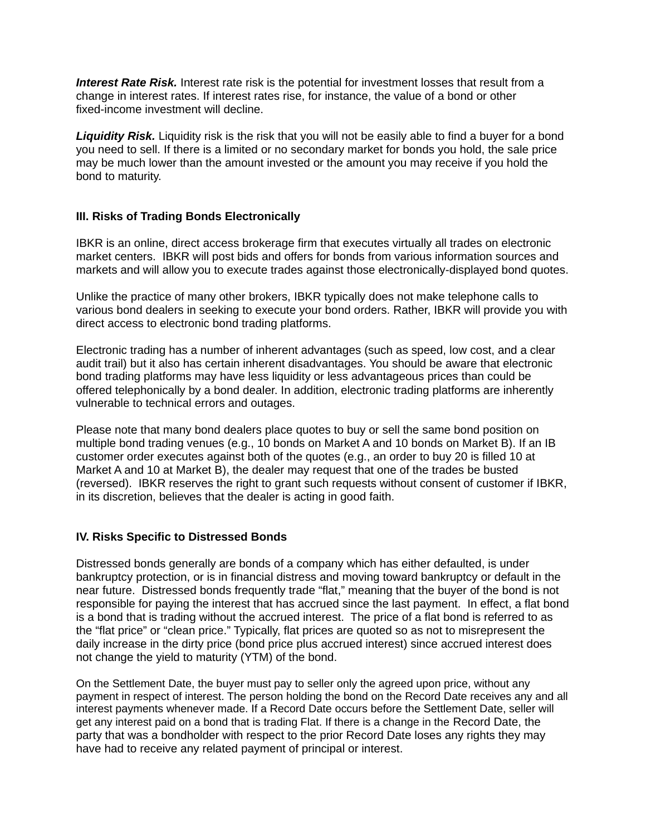*Interest Rate Risk.* Interest rate risk is the potential for investment losses that result from a change in interest rates. If interest rates rise, for instance, the value of a bond or other fixed-income investment will decline.

*Liquidity Risk.* Liquidity risk is the risk that you will not be easily able to find a buyer for a bond you need to sell. If there is a limited or no secondary market for bonds you hold, the sale price may be much lower than the amount invested or the amount you may receive if you hold the bond to maturity.

#### **III. Risks of Trading Bonds Electronically**

IBKR is an online, direct access brokerage firm that executes virtually all trades on electronic market centers. IBKR will post bids and offers for bonds from various information sources and markets and will allow you to execute trades against those electronically-displayed bond quotes.

Unlike the practice of many other brokers, IBKR typically does not make telephone calls to various bond dealers in seeking to execute your bond orders. Rather, IBKR will provide you with direct access to electronic bond trading platforms.

Electronic trading has a number of inherent advantages (such as speed, low cost, and a clear audit trail) but it also has certain inherent disadvantages. You should be aware that electronic bond trading platforms may have less liquidity or less advantageous prices than could be offered telephonically by a bond dealer. In addition, electronic trading platforms are inherently vulnerable to technical errors and outages.

Please note that many bond dealers place quotes to buy or sell the same bond position on multiple bond trading venues (e.g., 10 bonds on Market A and 10 bonds on Market B). If an IB customer order executes against both of the quotes (e.g., an order to buy 20 is filled 10 at Market A and 10 at Market B), the dealer may request that one of the trades be busted (reversed). IBKR reserves the right to grant such requests without consent of customer if IBKR, in its discretion, believes that the dealer is acting in good faith.

#### **IV. Risks Specific to Distressed Bonds**

Distressed bonds generally are bonds of a company which has either defaulted, is under bankruptcy protection, or is in financial distress and moving toward bankruptcy or default in the near future. Distressed bonds frequently trade "flat," meaning that the buyer of the bond is not responsible for paying the interest that has accrued since the last payment. In effect, a flat bond is a bond that is trading without the accrued interest. The price of a flat bond is referred to as the "flat price" or "clean price." Typically, flat prices are quoted so as not to misrepresent the daily increase in the dirty price (bond price plus accrued interest) since accrued interest does not change the yield to maturity (YTM) of the bond.

On the Settlement Date, the buyer must pay to seller only the agreed upon price, without any payment in respect of interest. The person holding the bond on the Record Date receives any and all interest payments whenever made. If a Record Date occurs before the Settlement Date, seller will get any interest paid on a bond that is trading Flat. If there is a change in the Record Date, the party that was a bondholder with respect to the prior Record Date loses any rights they may have had to receive any related payment of principal or interest.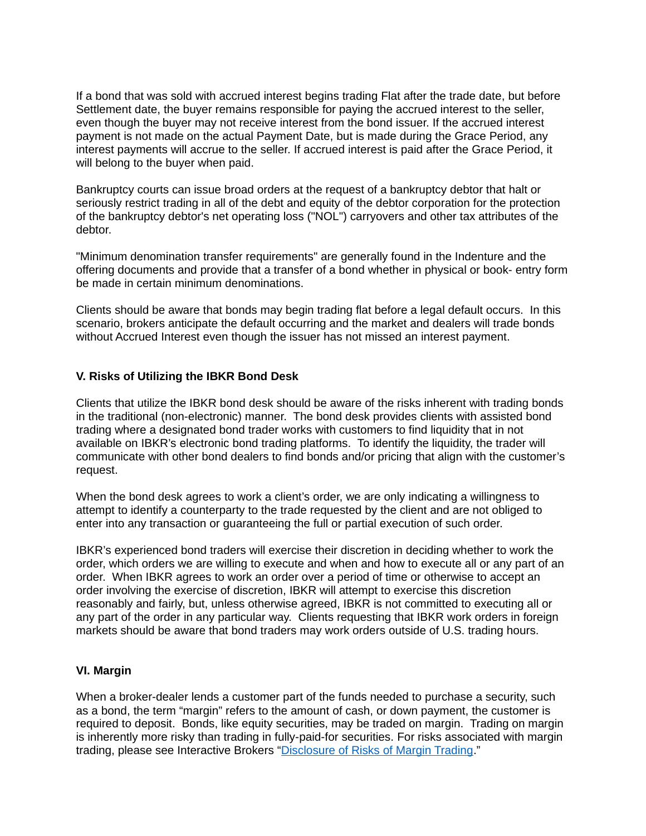If a bond that was sold with accrued interest begins trading Flat after the trade date, but before Settlement date, the buyer remains responsible for paying the accrued interest to the seller, even though the buyer may not receive interest from the bond issuer. If the accrued interest payment is not made on the actual Payment Date, but is made during the Grace Period, any interest payments will accrue to the seller. If accrued interest is paid after the Grace Period, it will belong to the buyer when paid.

Bankruptcy courts can issue broad orders at the request of a bankruptcy debtor that halt or seriously restrict trading in all of the debt and equity of the debtor corporation for the protection of the bankruptcy debtor's net operating loss ("NOL") carryovers and other tax attributes of the debtor.

"Minimum denomination transfer requirements" are generally found in the Indenture and the offering documents and provide that a transfer of a bond whether in physical or book- entry form be made in certain minimum denominations.

Clients should be aware that bonds may begin trading flat before a legal default occurs. In this scenario, brokers anticipate the default occurring and the market and dealers will trade bonds without Accrued Interest even though the issuer has not missed an interest payment.

# **V. Risks of Utilizing the IBKR Bond Desk**

Clients that utilize the IBKR bond desk should be aware of the risks inherent with trading bonds in the traditional (non-electronic) manner. The bond desk provides clients with assisted bond trading where a designated bond trader works with customers to find liquidity that in not available on IBKR's electronic bond trading platforms. To identify the liquidity, the trader will communicate with other bond dealers to find bonds and/or pricing that align with the customer's request.

When the bond desk agrees to work a client's order, we are only indicating a willingness to attempt to identify a counterparty to the trade requested by the client and are not obliged to enter into any transaction or guaranteeing the full or partial execution of such order.

IBKR's experienced bond traders will exercise their discretion in deciding whether to work the order, which orders we are willing to execute and when and how to execute all or any part of an order. When IBKR agrees to work an order over a period of time or otherwise to accept an order involving the exercise of discretion, IBKR will attempt to exercise this discretion reasonably and fairly, but, unless otherwise agreed, IBKR is not committed to executing all or any part of the order in any particular way. Clients requesting that IBKR work orders in foreign markets should be aware that bond traders may work orders outside of U.S. trading hours.

#### **VI. Margin**

When a broker-dealer lends a customer part of the funds needed to purchase a security, such as a bond, the term "margin" refers to the amount of cash, or down payment, the customer is required to deposit. Bonds, like equity securities, may be traded on margin. Trading on margin is inherently more risky than trading in fully-paid-for securities. For risks associated with margin trading, please see Interactive Brokers ["Disclosure of Risks of Margin Trading.](https://gdcdyn.interactivebrokers.com/Universal/servlet/Registration_v2.formSampleView?formdb=1005)"